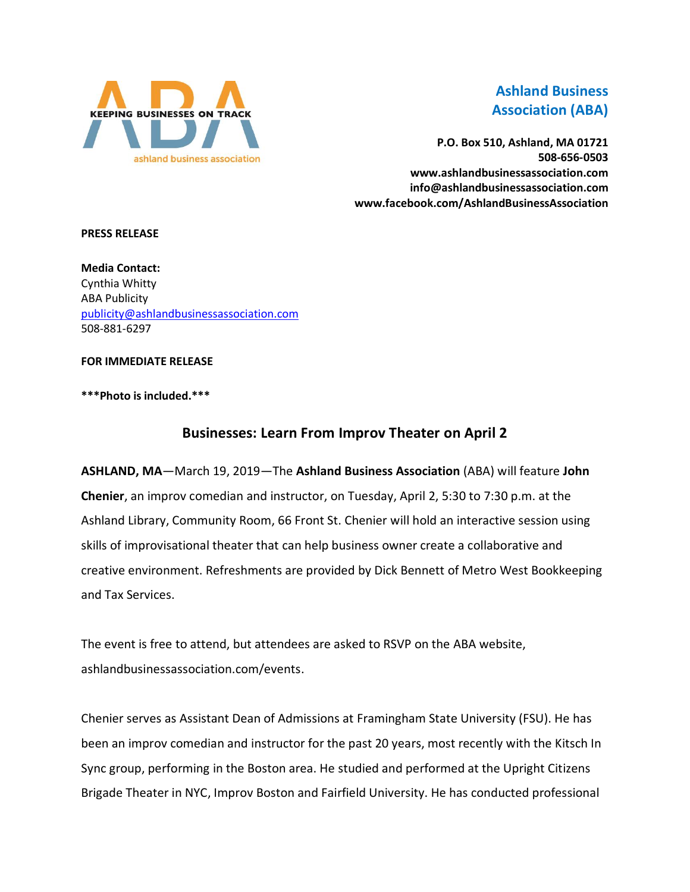

# **Ashland Business Association (ABA)**

**P.O. Box 510, Ashland, MA 01721 508-656-0503 www.ashlandbusinessassociation.com info@ashlandbusinessassociation.com www.facebook.com/AshlandBusinessAssociation**

#### **PRESS RELEASE**

**Media Contact:** Cynthia Whitty ABA Publicity [publicity@ashlandbusinessassociation.com](mailto:publicity@ashlandbusinessassociation.com) 508-881-6297

#### **FOR IMMEDIATE RELEASE**

### **\*\*\*Photo is included.\*\*\***

# **Businesses: Learn From Improv Theater on April 2**

**ASHLAND, MA**—March 19, 2019—The **Ashland Business Association** (ABA) will feature **John Chenier**, an improv comedian and instructor, on Tuesday, April 2, 5:30 to 7:30 p.m. at the Ashland Library, Community Room, 66 Front St. Chenier will hold an interactive session using skills of improvisational theater that can help business owner create a collaborative and creative environment. Refreshments are provided by Dick Bennett of Metro West Bookkeeping and Tax Services.

The event is free to attend, but attendees are asked to RSVP on the ABA website, ashlandbusinessassociation.com/events.

Chenier serves as Assistant Dean of Admissions at Framingham State University (FSU). He has been an improv comedian and instructor for the past 20 years, most recently with the Kitsch In Sync group, performing in the Boston area. He studied and performed at the Upright Citizens Brigade Theater in NYC, Improv Boston and Fairfield University. He has conducted professional